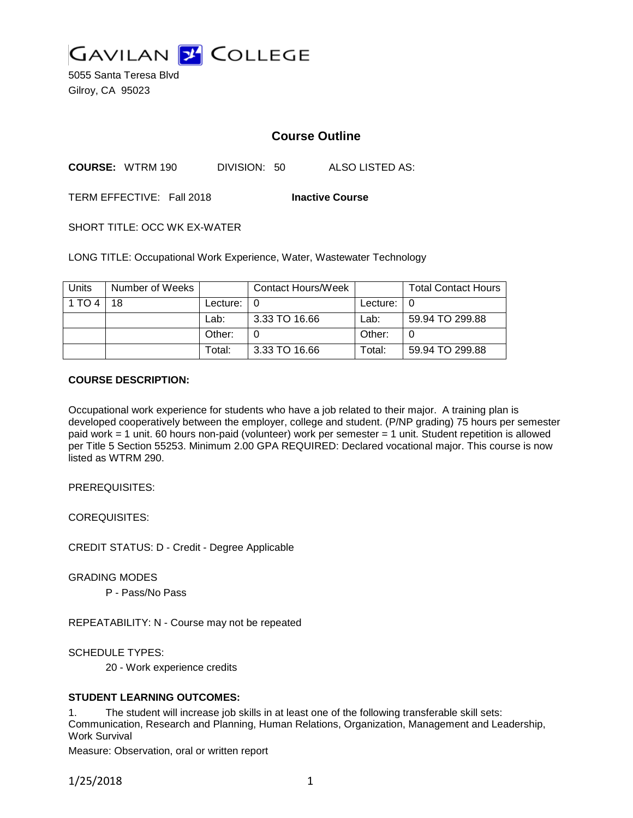

5055 Santa Teresa Blvd Gilroy, CA 95023

# **Course Outline**

**COURSE:** WTRM 190 DIVISION: 50 ALSO LISTED AS:

TERM EFFECTIVE: Fall 2018 **Inactive Course**

SHORT TITLE: OCC WK EX-WATER

LONG TITLE: Occupational Work Experience, Water, Wastewater Technology

| <b>Units</b> | Number of Weeks |          | Contact Hours/Week |          | <b>Total Contact Hours</b> |
|--------------|-----------------|----------|--------------------|----------|----------------------------|
| 1 TO 4       | 18              | Lecture: | - 0                | Lecture: |                            |
|              |                 | Lab:     | 3.33 TO 16.66      | Lab:     | 59.94 TO 299.88            |
|              |                 | Other:   |                    | Other:   |                            |
|              |                 | Total:   | 3.33 TO 16.66      | Total:   | 59.94 TO 299.88            |

#### **COURSE DESCRIPTION:**

Occupational work experience for students who have a job related to their major. A training plan is developed cooperatively between the employer, college and student. (P/NP grading) 75 hours per semester paid work = 1 unit. 60 hours non-paid (volunteer) work per semester = 1 unit. Student repetition is allowed per Title 5 Section 55253. Minimum 2.00 GPA REQUIRED: Declared vocational major. This course is now listed as WTRM 290.

PREREQUISITES:

COREQUISITES:

CREDIT STATUS: D - Credit - Degree Applicable

GRADING MODES

P - Pass/No Pass

REPEATABILITY: N - Course may not be repeated

SCHEDULE TYPES:

20 - Work experience credits

## **STUDENT LEARNING OUTCOMES:**

1. The student will increase job skills in at least one of the following transferable skill sets: Communication, Research and Planning, Human Relations, Organization, Management and Leadership, Work Survival

Measure: Observation, oral or written report

1/25/2018 1